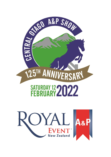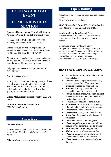# **HOSTING A ROYAL EVENT HOME INDUSTRIES**

# **SECTION**

### **Sponsored by Alexandra New World, Central AppliancePlus and The Bob Turnbull Trust**

President Robyn McLeod Ph 027 577 9939 Secretary Honey Naylor Ph 027 460 1970

Entries received 3.00pm- 4.00 pm and 6.30 – 8.00pm on THURSDAY 10 FEBRUARY, 9:00- 12:00pm on FRIDAY 11 FEBRUARY

All entries to be received by a steward and entered online. You MUST receive your EXHIBITOR # from the steward before placing items.

Judging to commence at 1:30pm on FRIDAY AFTERNOON

Entry fee 50 cents per entry

Prize giving 11:30am on Saturday in the pavilion - Overall winner to walk in the Grand Parade Removal of entries after 4.00 pm on Show Day Individual entries only, joint entries will not qualify for overall points in show.

**Gillian McKnight Memorial Trophy**- 2021 Lyn Berry

**Runner up Mrs EM Jackson Cup** – 2021 Colleen Cockburn

# **Show Bay**

### **"Pioneer Women"**

Items to be displayed- Craft 25 points, Baking 25 points, Floral 25 points, and Overall effect 25 points

**AB Jones Cup** and \$50 prize money

# **Open Baking**

All entries to be received by a steward and entered online.

Please bring own plastic bags.

**Mrs W Rutherford Cup** – 2021 Caroline Bartlett Prize Money: 1st \$50, 2nd \$35 and 3rd \$25

### **Cambrian St Bathans Special Prize**

For sections 802, 807 and 811 To qualify you must enter in all sections, only one entry per section

### **Robert Jopp Cup** - 2021 Lyn Berry

Competitors must enter in both open baking as well as Jams and Preserves to qualify for this cup. Awarded to person with most points in open baking/ jams and preserves combined. Prize Money: 1st \$50, 2nd \$35, and 3rd \$25

### **HINTS AND TIPS FOR BAKING**

- Entries should be attractive and of similar size and shape.
- *Victoria Sponge-* equal quantities of fat, sugar, eggs and flour. Two even round layers sandwiched together with jam
- *Banana cake* any type of icing is acceptable unless otherwise specified.
- *Scones-* uniform shape, well risen, straight even sides and smooth top. Golden brown crust and no excess flour.
- *Sultana cake* should not contain nuts
- *Short bread* 3 lots of fork prints on top, 5- 10 mm height, should break with a snap.
- *Gingerbread* -made in loaf tin.
- *Cheesecakes* pastry, jam and cake top,
- *Anzac Biscuits* -contains rolled oats and even sized
- *Chocolate Truffles* anything goes
- *Chocolate fudge square* this should be iced, and wine biscuits should be crunchy
- *Fruit muffins* Anything goes here
- *Afghans* -Use cornflakes, not too flat
- *Chocolate chippies-* not too brown and any chopped chocolate or chips is ok.
- *Chocolate cake* any shape and only ice the top.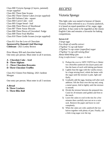Class 800 Victoria Sponge (2 layers, jammed) *recipe supplied* Class 801 Three Date Scones Class 802 Three Cheese Cakes *(recipe supplied)* Class 803 Sultana Cake - square Class 804 Carrot Cake - iced Class 805 Ginger bread - loaf Class 806 Three Pieces of Shortbread Class 807 Three Anzac Biscuits Class 808 Three Pieces of Uncooked Fudge Class 809 Three Fruit Muffins Class 810 Three Girdle Scones *(recipe supplied)*

#### Class 811 For the Love of Chocolate **Sponsored by Hannah Lind Marriage Celebrant -** 2021 Lesley Brown

Prize Money \$50 and chocolate basket One entry per person. Must enter in all 4 sections.

**A - Chocolate Cake – Iced B - Three Afghans C - Three Chocolate Brownies D- Three Chocolate Truffles**

Class 812 Gluten Free Baking -2021 Jardene Morgan

One entry per person. Must enter in all 3 sections

**A-Bread B- Three Crackers C- Three Bliss Ball**

### *RECIPES*

### Victoria Sponge

This light cake was named in honour of Queen Victoria. Often referred to as a Victoria sandwich, it is based on equal quantities of fat, sugar, eggs and flour. It has come to be regarded as the classic English Cake and remains a favourite for baking competitions.

#### *Serves 6-8*

*3 large eggs Few drops of vanilla extract 175g/6oz/ ¾ cup soft butter 175g/6oz/ ¾ cup caster (superfine) sugar 175g/6oz/ ¾ cup self-raising flour About 60ml/4tbsp jam Icing (confectioner's sugar, to dust*

- 1) Preheat the over to  $180^{\circ}$ C/350<sup>°</sup>F/Gas 4. Better two 20cm/8in sandwich tins (layer pans) and line the bases of each with baking parchment.
- 2) Lightly beat the eggs with the vanilla extract. In a large mixing bowl, whisk the butter with the sugar until the mixture is pale, light and fluffy.
- 3) Gradually add the eggs, beating well after each addition. Sift the flour over the top and, using a metal spoon, fold in lightly until the mixture is smooth.
- 4) Divide the mixture between the prepared tins. Cook for 20 minutes until golden and firm to the touch.
- 5) Leave the cakes to cool in the tins for a few minutes then carefully turn out on to a wire rack. Remove the paper and leave to cool completely.
- 6) When the cakes are cold, sandwich the two halves together with plenty of jam. Finally, sift a little icing sugar over the top.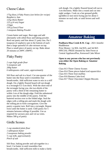### Cheese Cakes

*175g (6ozs.) Flaky Pastry (see below for recipe) Raspberry Jam 125g (4ozs) Butter 125 g (4 ozs) Sugar 2 Eggs 150 g (5ozs) Flour 1 teaspoon Baking Powder*

Cream butter and sugar. Beat eggs and add alternately with sifted flour and baking powder. Rool out pastry and line about 21 patty tins. Put 1 teaspoon of raspberry jam in the bottom of each then a large spoonful of cake mixture on top. Place a small piece of pastry on top. Bake about 20 minutes at 200°C (400°F).

# Flaky Pastry

*2 cups high grade flour ¼ teaspoon salt 200g butter 6 tablespoons cold water, approximately*

Sift flour and salt in a bowl. Cut one-quarter of the butter into the flour until it resembles fine breadcrumbs. Add sufficient water to mix to a stiff dough. On a lightly floured board roll out dough to a rectangle 0.5-1cm thick. With the short end of the rectangle facing you, dot two-thirds of the pastry with a third of the remaining butter to within 1cm of the dough edge. Fold the unbuttered pastry into the middle of the pastry. Fold the buttered section over to the folded edge. Seal the edges with a rolling pin and mark the dough with the rolling pin to form corrugations. Give the pastry a quarter turn. Roll into a rectangle. Repeat twice until the butter is used. Chill pastry for 5 minutes between rollings if possible. Use as required for savoury pies and vol au vents. Makes 500 g of pastry

# Girdle Scones

*1 cup standard plain flour 1 tablespoon butter 2 teaspoons baking powder ½ cup milk, approximately Pinch of salt*

Sift flour, baking powder and salt together in a bowl. Cut butter in until resembles fine breadcrumbs. Add sufficient milk to make a fairly

soft dough. On a lightly floured bread roll out to 1cm thickness. Make into a round and cut into eight wedges. Cook on a hot greased girdle (griddle) or non-stick frying pan for about 5 minutes on each side, or until brown and well risen.

### **Amateur Baking**

### **Poolburn-Moa Creek R.W. Cup** - 2021 Jennifer Huddleston Prize Money: 1st \$50, 2nd \$35, and 3rd \$25

SPECIAL PRIZE donated by John Feron at Central AppliancePlus, Kenwood Cake Mixer

#### **Open to any person who has not previously won either the Open Baking or Amateur Baking.**

Class 813 Three Cheese Scones Class 814 Three pieces baked iced square/slice Class 815 Three fruit muffins Class 816 Banana Cake-Iced Class 817 Three Chocolate Chippie Biscuits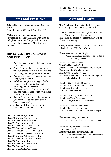## **Jams and Preserves**

**Jubilee Cup -most points in section** 2021 Lyn Berry

Prize Money: 1st \$50, 2nd \$35, and 3rd \$25

#### **ONLY one entry per person per class**

Any medium sized jars 375/500g with metal or cellophane lids acceptable, jars will be opened Preserves to be in quart jars. All entries to be labelled.

### **HINTS AND TIPS FOR JAMS AND PRESERVES**

- Polished clean jars and cellophane tops do look better
- *Jams*-fill above the neck but not to the rim, fruit should be evenly distributed and not chunky, no foreign leaves, stalks etc
- *Pickles* fruits, veggies, nuts preserved by vinegar, sugar spice and salt
- *Relish* a sour pickle of veggies finely chopped. The flavour is sharp and refreshing but not too sweet.
- *Chutney* a sweet pickle. A mixture of fruit and veggies, good bright even colour and smooth texture
- *Sauces* Similar to chutney but sieved to give a thin consistency, don't over fill bottles, leave head space.
- *Jellies* -Made from strained fruit juice boiled with sugar, which sets to a clear jelly

Class 818 One Jar Apricot Jam

- Class 819 One Jar Raspberry Jam
- Class 820 One Jar Strawberry Jam
- Class 821 One Jar Marmalade
- Class 822 One Jar Unscheduled Jam
- Class 823 One Jar Lemon Honey
- Class 824 One Jar of Unscheduled Jelly
- Class 825 One Jar Preserved Stone Fruit
- Class 826 One Jar Pickled Vegetables
- Class 827 One Jar Unscheduled Relish
- Class 828 One Jar of Pickle
- Class 829 One Jar Tomato Relish
- Class 830 One Jar Chutney
- Class 831 One Bottle Plum Sauce

# **Arts and Crafts**

**Mrs W.J. Stuart Cup** - 2021 Jardene Morgan Prize Money: 1st \$50, 2nd \$35, and 3rd \$25

Any hand worked article having won a First Prize in this Show is not eligible for entry. Please label all entries. No responsibility will be taken for misnaming.

**Hilary Paterson Award** -Most outstanding piece of Embroidery - 2021 Julie Morton

Class 834 Baby's Knitted Singlet

• Pattern supplied and garments to be donated to local maternity providers

Class 835 A Table Runner

Class 836 Handmade Card

Class 837 Article in Embroidery - any medium

Class 838 Embroidered Cushion

- Class 839 Cross Stitch Picture
- Class 840 Something New from Something Old
	- To be labelled with material used

Class 841 Child's Knitted Slippers

Class 842 Adult's Hand Knitted Garment

- Class 843 Article in Patchwork
	- Applique Allowed

Class 844 Soft Toy - knitted or sewn Class 845 A Wool Accessory

• knitted, woven, felted or crocheted

Class 846 Jewellery - handmade

Class 847 Painting - any medium

• No larger than 60cm x 60cm, one entry per person

Class 848 Drawing - any medium

• No larger than 60cm x 60cm, one entry per person

Class 849 Any Article not Scheduled

• Soft or Hard

Class 850 Knitted Newborn Baby Hat

• Pattern supplied and hats to be donated to the local maternity provider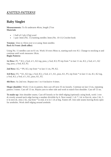# *KNITTED PATTERNS*

# **Baby Singlet**

**Measurements:** To fit underarm 40cm, length 27cm **Materials**

- 1 ball of 2 ply  $(25g)$  wool
- 1 pair 3mm (No. 11) knitting needles 3mm (No. 10-11) Crochet hook

**Tension:** 32sts to 10cm over st st using 3mm needles **Back & Front: (both alike)** 

Using No. 11 needles cast on 61 sts. Work 10 rows Moss st, starting each row K1. Change to stocking st and continue until work measures 18cm. **Begin Pattern:** 

**1st Row:** P2. \* K3, y fwd, sl 1, K2 tog, psso, y fwd, K3, P3 rep from \* to last 11 sts, K3, y fwd, sl 1, K2 tog, psso, y fwd, K3, P2.

**2nd Row:** K2, \* P9, K3, rep from \* to last 11 sts, P9, K2.

**3rd Row:** P2, \* K1, K2 tog, y fwd, K3, y fwd, sl 1, K1, psso, K1, P3, rep from \* to last 11 sts, K1, K2 tog, y fwd, K3, y fwd, sl 1, K1, psso, K1, P2.

**4th Row:** As 2nd row. Repeat row 1 to 4 inclusive 4 times.

**Shape shoulder:** Work 13 sts in pattern, then cast off next 35 sts loosely. Continue on last 13 sts, repeating pattern 3 times. Cast off 13 sts. Rejoin yarn to other side and work to match first shoulder. Cast off 13 sts.

**To make up:** Join shoulder seams. Cast off loosely or for shell edging (optional): using hook, work 1 row dc evenly around neck edge having a number divisible by 6. Next round: 1 ch \* 1 dc in first dc, miss 2 dc, 5 tr in next dc, miss 2 dc, rep from \* to end, sl st in 1 ch at beg. Fasten off. Join side seams leaving 8cms open for armholes. Work shell edging around armhole.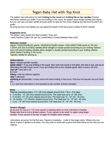# **Tegan Baby Hat with Top Knot**

The pattern has instructions for both knitting in the round and knitting flat on two needles. Choose whichever method you prefer. If you are knitting in the round, the pattern says double pointed pins (dpns) but you can use a circular needle and just switch to dpns for the crown shaping and top knot rounds if you prefer..

By tying the knot more tightly you can adjust the depth of the hat to give a better fit when needed.

#### **Suggested yarns:**

The pattern uses double knit /light worsted / 8 ply yarn I used Paintbox Cotton DK yarn by LoveKnitting in shade Seafoam Blue (432)

#### **Materials needed:**

Approx 19(22)(25)(28)(32) grams / 48(55)(63)(70)(80) metres / 53(61)(69)(77)(88) yards of DK yarn 3.25mm (US size 3) knitting needles either straight or double pointed according to your knitting method 4mm (US size 6) knitting needles either straight or double pointed according to your knitting method Stitch marker if knitting in the round.

Tapestry needle for sewing up.

#### **Abbreviations**

dpns = double pointed needles

garter stitch = If you are knitting in the round, then work one round in knit stitch, the next in purl, and so on alternating the stitch each round. If you are knitting flat on two needles garter stitch is every row knit. cast off  $=$  bind off in US

 $K =$  knit

K2tog = knit two stitches together

 $st(s) = stitch(es)$ 

stocking st (stockinette) = every round knit when knitting in the round. First row knit second row purl if knit flat.

 $\begin{bmatrix} 1 \end{bmatrix}$  = work the instructions in the brackets by the number of times indicated

#### Sizes:

Preemie (premature baby) 11½" (29 cms) relaxed around brim. Fits 4 - 6 lb baby.

0 - 3 months - 12" (30 cms) relaxed around brim. Fits head size up to 14" (35 cms)

3 - 6 months -13" (33 cms) relaxed around brim. Fits head size 14 - 16" (35 - 40 cms)

6 - 12 months - 14" (35cms) relaxed around brim. Fits head size 16 - 18" (40 - 45 cms)

1 - 2 yrs - 16" (40 cms) relaxed around brim. Fits head size 18 - 19" (45 - 48 cms)

#### **Tension (Gauge)**

22 sts and 30 rows to 4" (10 cms) square in stocking stitch on 4mm (US Size 6) needles Please take time to knit a tension square. If your square is too small, try again using larger needles. If your square is too big, try again on smaller sized needles.

Instructions are given for the first size. Figures in brackets () refer to the larger sizes. Where only one figure is given it applies to all sizes. You may wish to circle with a pencil the instructions for the size you are making.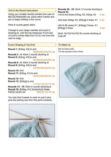#### Knit in the Round Instructions

Using your smaller double pointed pins cast on 66(72)(78)(84)(90) sts, place stitch marker and join to begin knitting in the round.

Work 8 rounds garter stitch.

Change to your larger needles and work in stocking st. until the hat measures  $3\frac{1}{4}(3\frac{1}{2})(4)$  $(4\frac{1}{4})(4\frac{3}{4})$  inches  $8(9)(10)(11)(12)$  cms from the cast on edge.

Crown Shaping & Top Knot

Round 1: [K2tog, K4] to end 55(60)(65)(70)(75) sts Rounds 2 - 4: Work 3 rounds stocking st Round 5: [K2tog, K3] to end 44(48)(52)(56)(60) sts Rounds 6 - 8: Work 3 rounds stocking st Round 9: [K2tog, K2] to end 33(36)(39)(42)(45) sts Round 10: Knit Round 11: [K2tog, K1] to end 22(24)(26)(28)(30) sts Round 12: Knit

Round 13: [K2tog] to end  $11(12)(13)(14)(15)$  sts Rounds 14 - 18: Work 5 rounds stocking st. Round 19: [K2tog, K1] 3(4)(4)(4)(5) times,

 $K2(0)(1)(2)(0)$  sts  $8(8)(9)(10)(10)$  sts You may find it easier to work on just 2 pins

plus the picking one from this point onwards.



Rounds 20 - 32: Work 13 rounds stocking st. Round 33:

(1st & 2nd sizes) K2tog, K2, K2tog, K2 6 sts

(3rd size) K2tog, K2, [K2tog] 2 times, K1 6 sts

(4th & 5th sizes) K1, [K2tog] 2 times, K1, [K2tog] 2 times 6 sts

Work 10(12)(14)(16)(18) rounds stocking st. Cast off.

### To Make Up

Sew in loose ends. Tie the top piece into a knot.

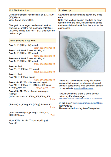#### **Knit Flat Instructions**

Using your smaller needles cast on 67(73)(79)  $(85)(91)$  sts. Work 8 rows garter stitch.

Change to your larger needles and work in stocking st. until the hat measures  $3\frac{1}{4}(3\frac{1}{2})(4)$  $(4\frac{1}{4})(4\frac{3}{4})$  inches 8(9)(10)(11)(12) cms from the cast on edge.

#### Crown Shaping & Top Knot

**Row 1: K1, [K2tog, K4] to end** 56(61)(66)(71)(76) sts **Rows 2 - 4: Work 3 rows stocking st Row 5: K1, [K2tog, K3] to end** 45(49)(53)(57)(61) sts Rows 6 - 8: Work 3 rows stocking st Row 9: K1, [K2tog, K2] to end 34(37)(40)(43)(46) sts Row 10: Purl Row 11: K1, [K2tog, K1] to end 23(25)(27)(29)(31) sts Row 12: Purl Row 13: K1, [K2tog] to end 12(13)(14)(15)(16) sts Rows 14 - 18: Work 5 rows stocking st. Row 19: K1, [K2tog, K1] 3(4)(4)(4)(5) times,  $K2(0)(1)(2)(0)$  sts  $9(9)(10)(11)(11)$  sts Rows 20 - 32: Work 13 rows stocking st. **Row 33:** (1st & 2nd sizes) K1, K2tog, K2, K2tog, K2 7 sts (3rd size) K1, K2tog, K2, [K2tog] 2 times, K1

7 sts

7 sts

(4th & 5th sizes) K1, [K2tog] 2 times, K2, [K2tog] 2 times

Work 9(11)(13)(15)(17) rows stocking st. Cast off.

### To Make Up

Sew up the back seam and sew in any loose ends.

Note: The top knot section needs to be sewn together from the front, so it is easiest to use mattress stitch and work from the front for the entire seam.



I hope you have enjoyed using this pattern. You can find more of my designs, along with tutorials, social media links and email contact on my website www.lovefibres.com

I would love you to share a photo of your hat on my Facebook page: https://www.facebook.com/Lovefibres-1673778779549020

Or tag me on www.instagram.com/lovefibres @LoveFibres Please use the hashtag #lovefibrespattern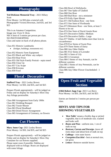# **Photography**

**Ted Dickison Memorial Tray -** 2021 Hillary Scott Prize Money: 1st \$50 plus a tutorial with Photographer Victoria Bowman, 2nd \$35, and 3rd \$25

This is an Amateur Competition. Image size 15cm X 10cm. NB A limit of 3 entries per person per class. NO PHOTOSHOPPING Class and name on back of all photos please.

Class 851 Historic Landmarks

- (bridges, buildings, monuments etc)
- Class 852 Historic Farm Equipment Class 853 Black and White -any subject Class 854 Hoar Frost Class 855 Old Style Family Portrait - sepia toned Class 856 Close Up Class 857 City Scape Class 858 Kiwiana Class 859 Food

### **Floral - Decorative**

**Stafford Tray** - 2021 Lesley Brown Prize Money: 1st \$50, 2nd \$35, and 3rd \$25

Prepare Florals appropriately - will be judged on Friday and on display for Saturday's Show Day Any foliage permissible.

Class 860 Arrangement from Early 1900s Class 861 Wedding Bouquet Class 862 Tussie Mussie Class 863 Floral Headband Class 864 Dried Flower Arrangement Class 865 Arrangement of Greenery, no flowers

### **Cut Flowers**

**Mary Jones Cup** -2021 Lesley Brown Prize Money: 1st \$50, 2nd \$35, and 3rd \$25

Prepare Florals appropriately - will be judged on Friday and on display for Saturday's Show Day Container for cut flowers supplied. Please name roses if possible. Dahlias are displayed with no foliage. Roses are displayed with some foliage.

Class 866 Bowl of Hollyhocks Class 867 One Spike of Gladioli Class 868 One Rose Class 869 Bud Rose - not a miniature Class 870 Fully Open Bloom Class 871 Old Fashion Rose - one Stem Class 872 One Stem of Floribunda Class 873 Miniature Rose - one Stem, at least 3 Florets to be out Class 874 One Stem of David Austin Rose Class 875 Decorative Dahlia -Medium Class 876 Decorative Dahlia - Large Class 877 Dahlia- A ball Dahlia more than 5cm in circumference Class 878 Five Stems of Sweet Peas Class 879 Three Stems of Daisy Class 880 Any Other Dahlia Class 881 Five Stems of Lavender Class 882 A Stem of Lily Class 883 A Geranium Class 884 3 Stems of Any Annuals, can be different varieties Class 885 3 Stems of Any Perennials, can be different varieties Class 886 Any Other Flower Unscheduled - 1 Stem

# **Open Fruit and Vegetable Section**

**(Old) Robert Jopp Cup**- 2021 Lyn Berry Prize Money: 1st \$50, 2nd \$35, and 3rd \$25

Entries are limited to 3 entries per person per class.

### **HINTS AND TIPS FOR SHOWING VEGETABLES**

- *'Best Table'* means a freshly dug or picked vegetable, that is of moderate size, washed and looks well.
- *Beans and Peas* uniform size, 1 cm of stalk on top
- *Beetroot, Carrots and Parsnips* -leave all roots intact and about 6cm of stalk on top
- *Cabbage* trim outer leaves
- *Courgettes/Zucchini* best at normal size, not gross
- *Lettuce* -Remove outside leaves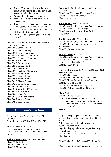- *Onions* Trim roots slightly, tidy up outer skin, 8-10cm stalk to be doubled over and secured with band or string
- *Parsley* Bright green, clean and fresh
- *Potato* a table potato should fit into a cupped hand
- *Rhubarb* -leave a fraction of green on top of stalk, tear stalk off crown, don't cut
- Garlic trim roots but don't cut completely off, leave short stalk on bulbs
- *Tomatoes* -green growing stalks must be attached

Class 887 7 Varieties of Fresh Garden Produce

• Any container Class 888 3 Carrots - Short Class 889 3 Carrots - Long Class 890 1 Lettuce - Any Variety Class 891 3 Potatoes - Table White Class 892 3 Potatoes - Table Red Class 893 3 Tomatoes Class 894 3 Onions - white Class 895 3 Onions - Red Class 896 3 Beetroot - Round Class 897 3 Beetroot - Cylindrical Class 898 3 Beans - Runner Class 899 3 Beans - Dwarf Class 900 3 Beans - Butter Class 901 6 Cherry Tomatoes Class 902 3 Courgettes/Zucchini Class 903 Skite's Corner Class 904 Unscheduled Vegetable Class 905 3 Pods of Peas Class 906 3 Stone Fruit Class 907 3 Stalks of Rhubarb Class 908 Bunch of Parsley Class 909 3 Garlic Bulbs

# **Children's Section**

**Ryan Cup** - Most Points Overall 2021 Max Hollebon Prize Money: 1st \$20, 2nd \$15, and 3rd \$10

No Entry Fee for this Section Please make sure your entry is named. Please note that ONLY scheduled items may be entered.

### **Junior Photography -**2021 Ava Huddleston

Class 910 Portrait Class 911 On the Farm Class 912 Mountains

### **Pre school -**2021 Darci Huddleston/Lucy Lake 1st equal

Class 913 A Decorated Homemade Crown Class 914 Toilet Roll Creation Class 915 Sandsaucer

### **5 to 7 Years -**2021 Emily Heckler

Class 916 A Hanging Christmas Tree Decoration Class 917 Mixed Media Collage Class 918 An Animal made from Fruit and/or Vegetables

### **8 to 10 years -**2021 Max Hollebon

Class 919 A Hanging Christmas Tree Decoration Class 920 Picture made from pressed flowers and/or leaves Class 921 Origami Creation

### **11 to 13 years -**2021 Tayla Bain

Class 922 A Hanging Christmas Tree Decoration Class 923 A Painted Terra Cotta Pot

• (11cm Terra Cotta Pot) Class 924 A Pompom

### **Open to all Children 13 Years and Under -**2021

Max Hollebon Class 925 Dreamcatcher Class 926 Drawing/Painting -Size A4 max. Class 927 Floral Decoration in a Gumboot Class 928 Tussie Mussie Class 929 Three Pieces of Lollycake Class 930 Wheat Grass Head -Growing

### **Plant Project**

Class 931 Plant Project

• Grow and nurture your own plant from seed/cutting. Share your growing process and provide us with your plants name (ie. photos, journal etc).

### **LEGO**

Only one entry per person. Free form only NOT box sets. Base size to be no bigger than 40cm by 40cm

Points from this section will be added to the overall children's prize

**Lego for display only/non-competitive: Any form of box set lego**

Class 932 For Ages 4-6 Years -2021 Mai Chamberlain

Class 933 For Ages 7-9 Years -2021 Ethan Udy

Class 934 For Ages 9-13 Years -2021 Tayla Bain